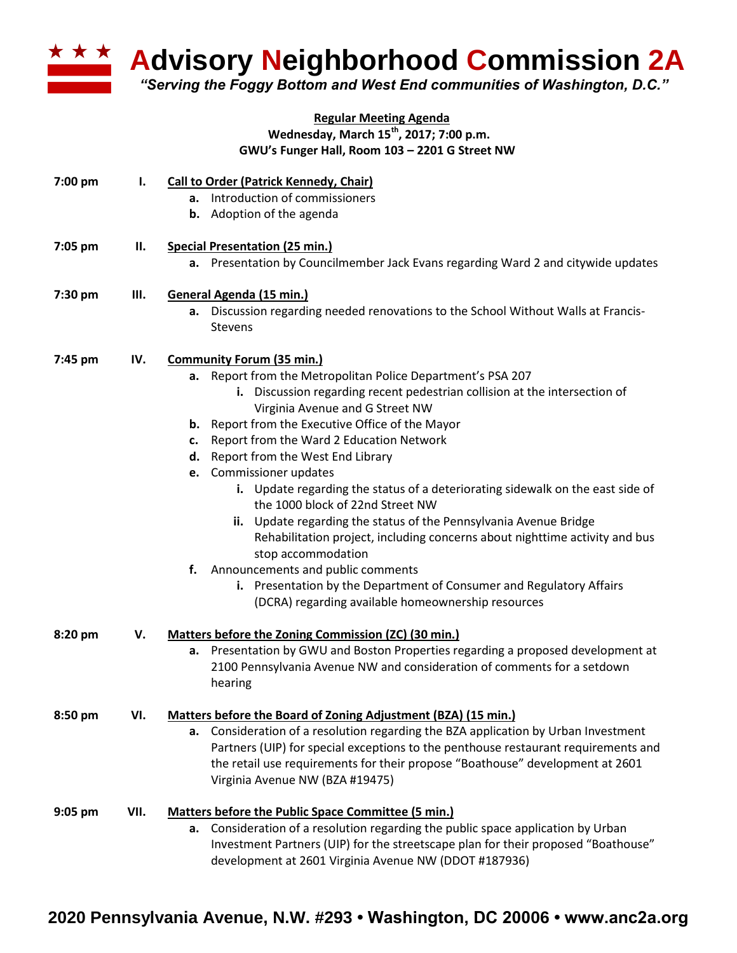

**Advisory Neighborhood Commission 2A** 

*"Serving the Foggy Bottom and West End communities of Washington, D.C."*

## **Regular Meeting Agenda Wednesday, March 15th , 2017; 7:00 p.m. GWU's Funger Hall, Room 103 – 2201 G Street NW**

| 7:00 pm | ı.   | <b>Call to Order (Patrick Kennedy, Chair)</b><br>a. Introduction of commissioners<br><b>b.</b> Adoption of the agenda                                                                                                                                                                                                                                                                                                                                                                                                                                                                                                                                                                                                                                                                                                                                                 |
|---------|------|-----------------------------------------------------------------------------------------------------------------------------------------------------------------------------------------------------------------------------------------------------------------------------------------------------------------------------------------------------------------------------------------------------------------------------------------------------------------------------------------------------------------------------------------------------------------------------------------------------------------------------------------------------------------------------------------------------------------------------------------------------------------------------------------------------------------------------------------------------------------------|
| 7:05 pm | Н.   | <b>Special Presentation (25 min.)</b><br>a. Presentation by Councilmember Jack Evans regarding Ward 2 and citywide updates                                                                                                                                                                                                                                                                                                                                                                                                                                                                                                                                                                                                                                                                                                                                            |
| 7:30 pm | Ш.   | General Agenda (15 min.)<br>a. Discussion regarding needed renovations to the School Without Walls at Francis-<br><b>Stevens</b>                                                                                                                                                                                                                                                                                                                                                                                                                                                                                                                                                                                                                                                                                                                                      |
| 7:45 pm | IV.  | <b>Community Forum (35 min.)</b><br>a. Report from the Metropolitan Police Department's PSA 207<br>i. Discussion regarding recent pedestrian collision at the intersection of<br>Virginia Avenue and G Street NW<br><b>b.</b> Report from the Executive Office of the Mayor<br>c. Report from the Ward 2 Education Network<br>d. Report from the West End Library<br>e. Commissioner updates<br>i. Update regarding the status of a deteriorating sidewalk on the east side of<br>the 1000 block of 22nd Street NW<br>ii. Update regarding the status of the Pennsylvania Avenue Bridge<br>Rehabilitation project, including concerns about nighttime activity and bus<br>stop accommodation<br>f.<br>Announcements and public comments<br>i. Presentation by the Department of Consumer and Regulatory Affairs<br>(DCRA) regarding available homeownership resources |
| 8:20 pm | v.   | Matters before the Zoning Commission (ZC) (30 min.)<br>a. Presentation by GWU and Boston Properties regarding a proposed development at<br>2100 Pennsylvania Avenue NW and consideration of comments for a setdown<br>hearing                                                                                                                                                                                                                                                                                                                                                                                                                                                                                                                                                                                                                                         |
| 8:50 pm | VI.  | Matters before the Board of Zoning Adjustment (BZA) (15 min.)<br>a. Consideration of a resolution regarding the BZA application by Urban Investment<br>Partners (UIP) for special exceptions to the penthouse restaurant requirements and<br>the retail use requirements for their propose "Boathouse" development at 2601<br>Virginia Avenue NW (BZA #19475)                                                                                                                                                                                                                                                                                                                                                                                                                                                                                                         |
| 9:05 pm | VII. | Matters before the Public Space Committee (5 min.)<br>a. Consideration of a resolution regarding the public space application by Urban<br>Investment Partners (UIP) for the streetscape plan for their proposed "Boathouse"<br>development at 2601 Virginia Avenue NW (DDOT #187936)                                                                                                                                                                                                                                                                                                                                                                                                                                                                                                                                                                                  |